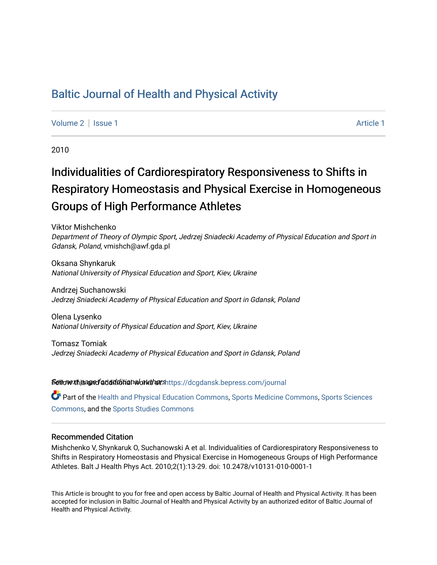# [Baltic Journal of Health and Physical Activity](https://dcgdansk.bepress.com/journal)

[Volume 2](https://dcgdansk.bepress.com/journal/vol2) | [Issue 1](https://dcgdansk.bepress.com/journal/vol2/iss1) Article 1

2010

# Individualities of Cardiorespiratory Responsiveness to Shifts in Respiratory Homeostasis and Physical Exercise in Homogeneous Groups of High Performance Athletes

Viktor Mishchenko Department of Theory of Olympic Sport, Jedrzej Sniadecki Academy of Physical Education and Sport in Gdansk, Poland, vmishch@awf.gda.pl

Oksana Shynkaruk National University of Physical Education and Sport, Kiev, Ukraine

Andrzej Suchanowski Jedrzej Sniadecki Academy of Physical Education and Sport in Gdansk, Poland

Olena Lysenko National University of Physical Education and Sport, Kiev, Ukraine

Tomasz Tomiak Jedrzej Sniadecki Academy of Physical Education and Sport in Gdansk, Poland

Settovexthis age of addiditional authors[https://dcgdansk.bepress.com/journal](https://dcgdansk.bepress.com/journal?utm_source=dcgdansk.bepress.com%2Fjournal%2Fvol2%2Fiss1%2F1&utm_medium=PDF&utm_campaign=PDFCoverPages)

Part of the [Health and Physical Education Commons](http://network.bepress.com/hgg/discipline/1327?utm_source=dcgdansk.bepress.com%2Fjournal%2Fvol2%2Fiss1%2F1&utm_medium=PDF&utm_campaign=PDFCoverPages), [Sports Medicine Commons,](http://network.bepress.com/hgg/discipline/1331?utm_source=dcgdansk.bepress.com%2Fjournal%2Fvol2%2Fiss1%2F1&utm_medium=PDF&utm_campaign=PDFCoverPages) [Sports Sciences](http://network.bepress.com/hgg/discipline/759?utm_source=dcgdansk.bepress.com%2Fjournal%2Fvol2%2Fiss1%2F1&utm_medium=PDF&utm_campaign=PDFCoverPages) [Commons](http://network.bepress.com/hgg/discipline/759?utm_source=dcgdansk.bepress.com%2Fjournal%2Fvol2%2Fiss1%2F1&utm_medium=PDF&utm_campaign=PDFCoverPages), and the [Sports Studies Commons](http://network.bepress.com/hgg/discipline/1198?utm_source=dcgdansk.bepress.com%2Fjournal%2Fvol2%2Fiss1%2F1&utm_medium=PDF&utm_campaign=PDFCoverPages) 

#### Recommended Citation

Mishchenko V, Shynkaruk O, Suchanowski A et al. Individualities of Cardiorespiratory Responsiveness to Shifts in Respiratory Homeostasis and Physical Exercise in Homogeneous Groups of High Performance Athletes. Balt J Health Phys Act. 2010;2(1):13-29. doi: 10.2478/v10131-010-0001-1

This Article is brought to you for free and open access by Baltic Journal of Health and Physical Activity. It has been accepted for inclusion in Baltic Journal of Health and Physical Activity by an authorized editor of Baltic Journal of Health and Physical Activity.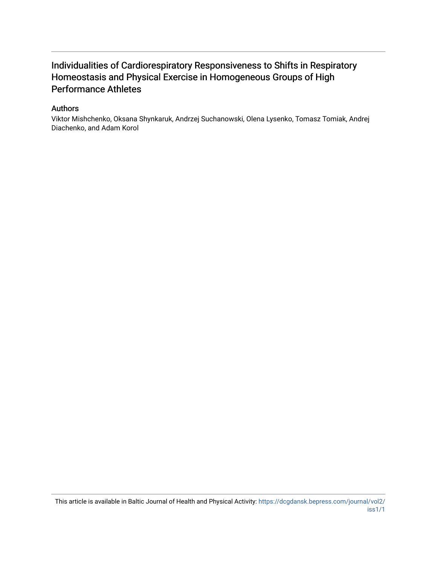# Individualities of Cardiorespiratory Responsiveness to Shifts in Respiratory Homeostasis and Physical Exercise in Homogeneous Groups of High Performance Athletes

#### Authors

Viktor Mishchenko, Oksana Shynkaruk, Andrzej Suchanowski, Olena Lysenko, Tomasz Tomiak, Andrej Diachenko, and Adam Korol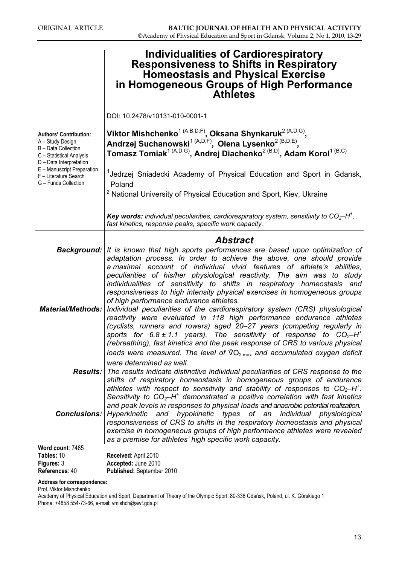|                                                                                                                                 | Individualities of Cardiorespiratory<br><b>Responsiveness to Shifts in Respiratory</b><br><b>Homeostasis and Physical Exercise</b><br>in Homogeneous Groups of High Performance<br><b>Athletes</b>                                                                                                                                                                                                                                                                                                                                                                                                                                                                                                                                                                                                                                                             |
|---------------------------------------------------------------------------------------------------------------------------------|----------------------------------------------------------------------------------------------------------------------------------------------------------------------------------------------------------------------------------------------------------------------------------------------------------------------------------------------------------------------------------------------------------------------------------------------------------------------------------------------------------------------------------------------------------------------------------------------------------------------------------------------------------------------------------------------------------------------------------------------------------------------------------------------------------------------------------------------------------------|
|                                                                                                                                 | DOI: 10.2478/v10131-010-0001-1                                                                                                                                                                                                                                                                                                                                                                                                                                                                                                                                                                                                                                                                                                                                                                                                                                 |
| <b>Authors' Contribution:</b><br>A - Study Design<br>B - Data Collection<br>C - Statistical Analysis<br>D - Data Interpretation | Viktor Mishchenko <sup>1 (A,B,D,F)</sup> , Oksana Shynkaruk <sup>2 (A,D,G)</sup> ,<br>Andrzej Suchanowski <sup>1 (A,D,F)</sup> , Olena Lysenko <sup>2 (B,D,E)</sup> ,<br>Tomasz Tomiak <sup>1 (A,D,G)</sup> , Andrej Diachenko <sup>2 (B,D)</sup> , Adam Korol <sup>1 (B,C)</sup>                                                                                                                                                                                                                                                                                                                                                                                                                                                                                                                                                                              |
| E - Manuscript Preparation<br>F - Literature Search<br>G - Funds Collection                                                     | <sup>1</sup> Jedrzej Sniadecki Academy of Physical Education and Sport in Gdansk,<br>Poland                                                                                                                                                                                                                                                                                                                                                                                                                                                                                                                                                                                                                                                                                                                                                                    |
|                                                                                                                                 | <sup>2</sup> National University of Physical Education and Sport, Kiev, Ukraine                                                                                                                                                                                                                                                                                                                                                                                                                                                                                                                                                                                                                                                                                                                                                                                |
|                                                                                                                                 | <b>Key words:</b> individual peculiarities, cardiorespiratory system, sensitivity to $CO_2$ -H <sup>+</sup> ,<br>fast kinetics, response peaks, specific work capacity.                                                                                                                                                                                                                                                                                                                                                                                                                                                                                                                                                                                                                                                                                        |
|                                                                                                                                 | <b>Abstract</b><br><b>Background:</b> It is known that high sports performances are based upon optimization of<br>adaptation process. In order to achieve the above, one should provide                                                                                                                                                                                                                                                                                                                                                                                                                                                                                                                                                                                                                                                                        |
| <b>Material/Methods:</b>                                                                                                        | a maximal account of individual vivid features of athlete's abilities,<br>peculiarities of his/her physiological reactivity. The aim was to study<br>individualities of sensitivity to shifts in respiratory homeostasis and<br>responsiveness to high intensity physical exercises in homogeneous groups<br>of high performance endurance athletes.<br>Individual peculiarities of the cardiorespiratory system (CRS) physiological<br>reactivity were evaluated in 118 high performance endurance athletes<br>(cyclists, runners and rowers) aged 20-27 years (competing regularly in<br>sports for $6.8 \pm 1.1$ years). The sensitivity of response to $CO_2$ -H <sup>+</sup><br>(rebreathing), fast kinetics and the peak response of CRS to various physical<br>loads were measured. The level of $\sqrt[6]{O_{2}}_{max}$ and accumulated oxygen deficit |
| <b>Results:</b>                                                                                                                 | were determined as well.<br>The results indicate distinctive individual peculiarities of CRS response to the<br>shifts of respiratory homeostasis in homogeneous groups of endurance                                                                                                                                                                                                                                                                                                                                                                                                                                                                                                                                                                                                                                                                           |
| <b>Conclusions:</b>                                                                                                             | athletes with respect to sensitivity and stability of responses to $CO_2-H^+$ .<br>Sensitivity to $COz-H+$ demonstrated a positive correlation with fast kinetics<br>and peak levels in responses to physical loads and anaerobic potential realization.<br>Hyperkinetic<br>and hypokinetic types of an individual physiological<br>responsiveness of CRS to shifts in the respiratory homeostasis and physical<br>exercise in homogeneous groups of high performance athletes were revealed<br>as a premise for athletes' high specific work capacity.                                                                                                                                                                                                                                                                                                        |
| Word count: 7485                                                                                                                |                                                                                                                                                                                                                                                                                                                                                                                                                                                                                                                                                                                                                                                                                                                                                                                                                                                                |
| Tables: 10                                                                                                                      | Received: April 2010                                                                                                                                                                                                                                                                                                                                                                                                                                                                                                                                                                                                                                                                                                                                                                                                                                           |
| Figures: 3                                                                                                                      | Accepted: June 2010                                                                                                                                                                                                                                                                                                                                                                                                                                                                                                                                                                                                                                                                                                                                                                                                                                            |

| Tables: 10        | Received: April 2010      |
|-------------------|---------------------------|
| <b>Figures: 3</b> | Accepted: June 2010       |
| References: 40    | Published: September 2010 |

#### Address for correspondence:

Prof. Viktor Mishchenko

Academy of Physical Education and Sport, Department of Theory of the Olympic Sport, 80-336 Gdańsk, Poland, ul. K. Górskiego 1 Phone: +4858 554-73-66, e-mail: vmishch@awf.gda.pl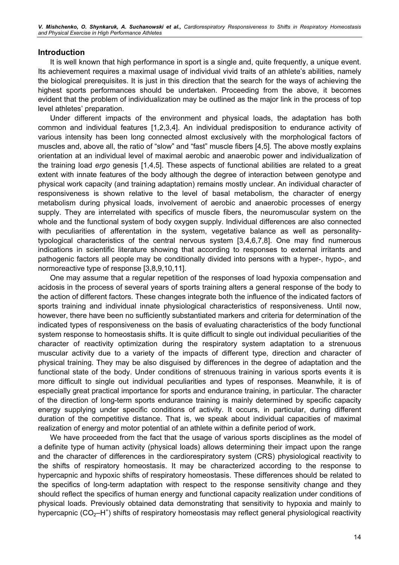V. Mishchenko, O. Shynkaruk, A. Suchanowski et al., Cardiorespiratory Responsiveness to Shifts in Respiratory Homeostasis and Physical Exercise in High Performance Athletes

#### Introduction

It is well known that high performance in sport is a single and, quite frequently, a unique event. Its achievement requires a maximal usage of individual vivid traits of an athlete's abilities, namely the biological prerequisites. It is just in this direction that the search for the ways of achieving the highest sports performances should be undertaken. Proceeding from the above, it becomes evident that the problem of individualization may be outlined as the major link in the process of top level athletes' preparation.

Under different impacts of the environment and physical loads, the adaptation has both common and individual features [1,2,3,4]. An individual predisposition to endurance activity of various intensity has been long connected almost exclusively with the morphological factors of muscles and, above all, the ratio of "slow" and "fast" muscle fibers [4,5]. The above mostly explains orientation at an individual level of maximal aerobic and anaerobic power and individualization of the training load ergo genesis [1,4,5]. These aspects of functional abilities are related to a great extent with innate features of the body although the degree of interaction between genotype and physical work capacity (and training adaptation) remains mostly unclear. An individual character of responsiveness is shown relative to the level of basal metabolism, the character of energy metabolism during physical loads, involvement of aerobic and anaerobic processes of energy supply. They are interrelated with specifics of muscle fibers, the neuromuscular system on the whole and the functional system of body oxygen supply. Individual differences are also connected with peculiarities of afferentation in the system, vegetative balance as well as personalitytypological characteristics of the central nervous system [3,4,6,7,8]. One may find numerous indications in scientific literature showing that according to responses to external irritants and pathogenic factors all people may be conditionally divided into persons with a hyper-, hypo-, and normoreactive type of response [3,8,9,10,11].

One may assume that a regular repetition of the responses of load hypoxia compensation and acidosis in the process of several years of sports training alters a general response of the body to the action of different factors. These changes integrate both the influence of the indicated factors of sports training and individual innate physiological characteristics of responsiveness. Until now, however, there have been no sufficiently substantiated markers and criteria for determination of the indicated types of responsiveness on the basis of evaluating characteristics of the body functional system response to homeostasis shifts. It is quite difficult to single out individual peculiarities of the character of reactivity optimization during the respiratory system adaptation to a strenuous muscular activity due to a variety of the impacts of different type, direction and character of physical training. They may be also disguised by differences in the degree of adaptation and the functional state of the body. Under conditions of strenuous training in various sports events it is more difficult to single out individual peculiarities and types of responses. Meanwhile, it is of especially great practical importance for sports and endurance training, in particular. The character of the direction of long-term sports endurance training is mainly determined by specific capacity energy supplying under specific conditions of activity. It occurs, in particular, during different duration of the competitive distance. That is, we speak about individual capacities of maximal realization of energy and motor potential of an athlete within a definite period of work.

We have proceeded from the fact that the usage of various sports disciplines as the model of a definite type of human activity (physical loads) allows determining their impact upon the range and the character of differences in the cardiorespiratory system (CRS) physiological reactivity to the shifts of respiratory homeostasis. It may be characterized according to the response to hypercapnic and hypoxic shifts of respiratory homeostasis. These differences should be related to the specifics of long-term adaptation with respect to the response sensitivity change and they should reflect the specifics of human energy and functional capacity realization under conditions of physical loads. Previously obtained data demonstrating that sensitivity to hypoxia and mainly to hypercapnic (CO<sub>2</sub> $-$ H<sup>+</sup>) shifts of respiratory homeostasis may reflect general physiological reactivity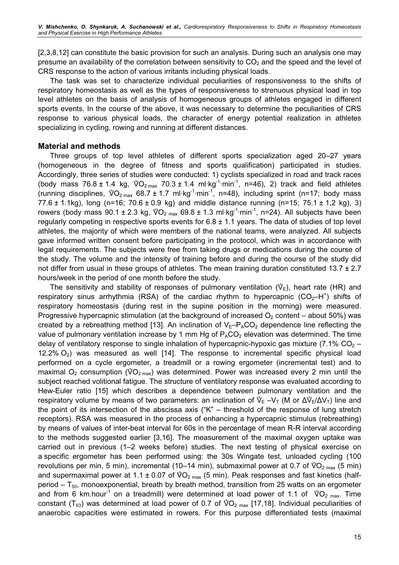[2,3,8,12] can constitute the basic provision for such an analysis. During such an analysis one may presume an availability of the correlation between sensitivity to  $CO<sub>2</sub>$  and the speed and the level of CRS response to the action of various irritants including physical loads.

The task was set to characterize individual peculiarities of responsiveness to the shifts of respiratory homeostasis as well as the types of responsiveness to strenuous physical load in top level athletes on the basis of analysis of homogeneous groups of athletes engaged in different sports events. In the course of the above, it was necessary to determine the peculiarities of CRS response to various physical loads, the character of energy potential realization in athletes specializing in cycling, rowing and running at different distances.

## Material and methods

Three groups of top level athletes of different sports specialization aged 20–27 years (homogeneous in the degree of fitness and sports qualification) participated in studies. Accordingly, three series of studies were conducted: 1) cyclists specialized in road and track races (homogeneous in the degree of fitness and sports qualification) participated in studies.<br>Accordingly, three series of studies were conducted: 1) cyclists specialized in road and track races<br>(body mass  $76.8 \pm 1.4$  kg,  $\sqrt$ Accordingly, three serie<br>(body mass 76.8 ± 1.4<br>(running disciplines, V (running disciplines,  $\sqrt[6]{O_{2 \text{ max}}}$  68.7 ± 1.7 ml·kg<sup>-1</sup>·min<sup>-1</sup>, n=48), including sprint (n=17; body mass 77.6 ± 1.1kg), long (n=16; 70.6 ± 0.9 kg) and middle distance running (n=15; 75.1 ± 1,2 kg), 3) rowers (body mas 77.6  $\pm$  1.1kg), long (n=16; 70.6  $\pm$  0.9 kg) and middle distance running (n=15; 75.1  $\pm$  1,2 kg), 3) rowers (body mass 90.1 ± 2.3 kg,  $\sqrt[6]{O_{2 \text{ max}}}$  69.8 ± 1.3 ml·kg<sup>-1</sup>·min<sup>-1</sup>, n=24). All subjects have been regularly competing in respective sports events for  $6.8 \pm 1.1$  years. The data of studies of top level athletes, the majority of which were members of the national teams, were analyzed. All subjects gave informed written consent before participating in the protocol, which was in accordance with legal requirements. The subjects were free from taking drugs or medications during the course of the study. The volume and the intensity of training before and during the course of the study did not differ from usual in these groups of athletes. The mean training duration constituted  $13.7 \pm 2.7$ hours/week in the period of one month before the study. differ from usual in these groups of athletes. The mean training duration constituted 13.7 ± 2.7 rs/week in the period of one month before the study.<br>The sensitivity and stability of responses of pulmonary ventilation ( $\$ 

respiratory sinus arrhythmia (RSA) of the cardiac rhythm to hypercapnic  $(CO_2-H^+)$  shifts of respiratory homeostasis (during rest in the supine position in the morning) were measured. Progressive hypercapnic stimulation (at the background of increased  $O<sub>2</sub>$  content – about 50%) was created by a rebreathing method [13]. An inclination of  $V_E-P_ACO_2$  dependence line reflecting the value of pulmonary ventilation increase by 1 mm Hg of  $P_{A}CO_{2}$  elevation was determined. The time delay of ventilatory response to single inhalation of hypercapnic-hypoxic gas mixture (7.1%  $CO<sub>2</sub>$  – 12.2% O<sub>2</sub>) was measured as well [14]. The response to incremental specific physical load performed on a cycle ergometer, a treadmill or a rowing ergometer (incremental test) and to maximal O<sub>2</sub> consumption ( $\sqrt[6]{O_{2 \text{ max$ performed on a cycle ergometer, a treadmill or a rowing ergometer (incremental test) and to maximal O<sub>2</sub> consumption ( $\sqrt[6]{O_{2}}_{max}$ ) was determined. Power was increased every 2 min until the subject reached volitional fatigue. The structure of ventilatory response was evaluated according to<br>Hew-Euler ratio [15] which describes a dependence between pulmonary ventilation and the<br>respiratory volume by means of t Hew-Euler ratio [15] which describes a dependence between pulmonary ventilation and the respiratory volume by means of two parameters: an inclination of  $\hat{V}_F - V_T$  (M or  $\Delta \hat{V}_F / \Delta V_T$ ) line and the point of its intersection of the abscissa axis ("K" – threshold of the response of lung stretch receptors). RSA was measured in the process of enhancing a hypercapnic stimulus (rebreathing) by means of values of inter-beat interval for 60s in the percentage of mean R-R interval according to the methods suggested earlier [3,16]. The measurement of the maximal oxygen uptake was carried out in previous (1–2 weeks before) studies. The next testing of physical exercise on a specific ergometer has been performed using: the 30s Wingate test, unloaded cycling (100 carried out in previous (1–2 weeks before) studies. The next testing of physica<br>a specific ergometer has been performed using: the 30s Wingate test, unloaded<br>revolutions per min, 5 min), incremental (10–14 min), submaximal revolutions per min, 5 min), incremental (10–14 min), submaximal power at 0.7 of  $\sqrt[6]{O_{2}}_{max}$  (5 min) a specific ergometer has been performed<br>revolutions per min, 5 min), incremental (10<br>and supermaximal power at 1.1 ± 0.07 of  $\sqrt[6]{ }$ and supermaximal power at 1.1 ± 0.07 of  $\sqrt[6]{O_{2}}_{max}$  (5 min). Peak responses and fast kinetics (half-<br>period – T<sub>50</sub>, monoexponential, breath by breath method, transition from 25 watts on an ergometer<br>and from 6 km.hour period –  $T_{50}$ , monoexponential, breath by breath method, transition from 25 watts on an ergometer and from 6 km.hour<sup>-1</sup> on a treadmill) were determined at load power of 1.1 of  $\sqrt[6]{O_{2}}$  max. Time period – T<sub>50</sub>, monoexponential, breath by breath method, transition from 25 watts on an ergometer<br>and from 6 km.hour<sup>-1</sup> on a treadmill) were determined at load power of 1.1 of  $\sqrt[6]{O_{2}}_{max}$ . Time<br>constant (T<sub>63</sub>) was d anaerobic capacities were estimated in rowers. For this purpose differentiated tests (maximal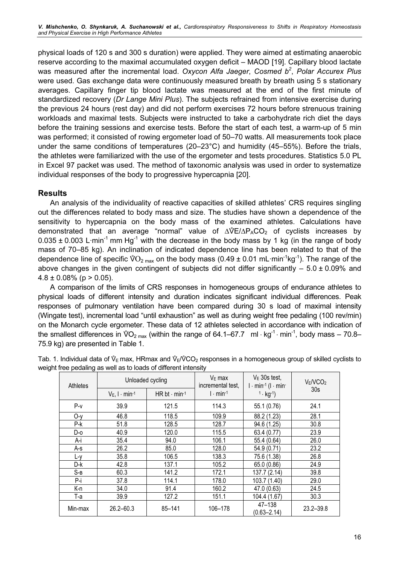physical loads of 120 s and 300 s duration) were applied. They were aimed at estimating anaerobic reserve according to the maximal accumulated oxygen deficit – MAOD [19]. Capillary blood lactate was measured after the incremental load. Oxycon Alfa Jaeger, Cosmed  $b^2$ , Polar Accurex Plus were used. Gas exchange data were continuously measured breath by breath using 5 s stationary averages. Capillary finger tip blood lactate was measured at the end of the first minute of standardized recovery (Dr Lange Mini Plus). The subjects refrained from intensive exercise during the previous 24 hours (rest day) and did not perform exercises 72 hours before strenuous training workloads and maximal tests. Subjects were instructed to take a carbohydrate rich diet the days before the training sessions and exercise tests. Before the start of each test, a warm-up of 5 min was performed; it consisted of rowing ergometer load of 50–70 watts. All measurements took place under the same conditions of temperatures (20–23°C) and humidity (45–55%). Before the trials, the athletes were familiarized with the use of the ergometer and tests procedures. Statistics 5.0 PL in Excel 97 packet was used. The method of taxonomic analysis was used in order to systematize individual responses of the body to progressive hypercapnia [20].

# Results

An analysis of the individuality of reactive capacities of skilled athletes' CRS requires singling out the differences related to body mass and size. The studies have shown a dependence of the sensitivity to hypercapnia on the body mass of the examined athletes. Calculations have out the differences related to body mass and size. The studies have shown a dependence of the sensitivity to hypercapnia on the body mass of the examined athletes. Calculations have demonstrated that an average "normal" v 0.035 ± 0.003 L·min<sup>-1</sup> mm Hg<sup>-1</sup> with the decrease in the body mass by 1 kg (in the range of body mass of 70–85 kg). An inclination of indicated dependence line has been related to that of the dependence line of specific mass of 70–85 kg). An inclination of indicated dependence line has been related to that of the dependence line of specific  $\sqrt[6]{O_{2 \text{ max}}}$  on the body mass (0.49 ± 0.01 mL·min<sup>-1</sup>kg<sup>-1</sup>). The range of the above changes in the given contingent of subjects did not differ significantly  $-5.0 \pm 0.09\%$  and  $4.8 \pm 0.08\%$  (p  $> 0.05$ ).

A comparison of the limits of CRS responses in homogeneous groups of endurance athletes to physical loads of different intensity and duration indicates significant individual differences. Peak responses of pulmonary ventilation have been compared during 30 s load of maximal intensity (Wingate test), incremental load "until exhaustion" as well as during weight free pedaling (100 rev/min) on the Monarch cycle ergometer. These data of 12 athletes selected in accordance with indication of (Wingate test), incremental load "until exhaustion" as well as during weight free pedaling (100 rev/min) on the Monarch cycle ergometer. These data of 12 athletes selected in accordance with indication of the smallest dif  $75.9 \text{ kg}$ ) are presented in Table 1.<br>Tab. 1. Individual data of  $\sqrt[6]{E}$  max, HR  $\frac{1}{1}$  Table 1.<br>
E max, HRmax and  $\sqrt[6]{CO_2}$  responses in a homogeneous group of skilled cyclists to

| Athletes | Unloaded cycling<br>$V_E$ , $I \cdot min^{-1}$ | HR bt $\cdot$ min-1 | $VE$ max<br>incremental test,<br>$l \cdot min^{-1}$ | $VE$ 30s test,<br>$l \cdot min^{-1} (l \cdot min^{-1})$<br>$1 \cdot kg^{-1}$ | $V_E/ VCO2$<br>30 <sub>s</sub> |
|----------|------------------------------------------------|---------------------|-----------------------------------------------------|------------------------------------------------------------------------------|--------------------------------|
|          |                                                |                     |                                                     |                                                                              |                                |
| $P-v$    | 39.9                                           | 121.5               | 114.3                                               | 55.1 (0.76)                                                                  | 24.1                           |
| $O-y$    | 46.8                                           | 118.5               | 109.9                                               | 88.2 (1.23)                                                                  | 28.1                           |
| P-k      | 51.8                                           | 128.5               | 128.7                                               | 94.6 (1.25)                                                                  | 30.8                           |
| D-o      | 40.9                                           | 120.0               | 115.5                                               | 63.4 (0.77)                                                                  | 23.9                           |
| A-i      | 35.4                                           | 94.0                | 106.1                                               | 55.4 (0.64)                                                                  | 26.0                           |
| $A-S$    | 26.2                                           | 85.0                | 128.0                                               | 54.9 (0.71)                                                                  | 23.2                           |
| $L-y$    | 35.8                                           | 106.5               | 138.3                                               | 75.6 (1.38)                                                                  | 26.8                           |
| D-k      | 42.8                                           | 137.1               | 105.2                                               | 65.0 (0.86)                                                                  | 24.9                           |
| $S-B$    | 60.3                                           | 141.2               | 172.1                                               | 137.7 (2.14)                                                                 | 39.8                           |
| P-i      | 37.8                                           | 114.1               | 178.0                                               | 103.7 (1.40)                                                                 | 29.0                           |
| K-n      | 34.0                                           | 91.4                | 160.2                                               | 47.0 (0.63)                                                                  | 24.5                           |
| T-a      | 39.9                                           | 127.2               | 151.1                                               | 104.4 (1.67)                                                                 | 30.3                           |
| Min-max  | $26.2 - 60.3$                                  | 85-141              | 106-178                                             | 47-138<br>$(0.63 - 2.14)$                                                    | $23.2 - 39.8$                  |

weight free pedaling as well as to loads of different intensity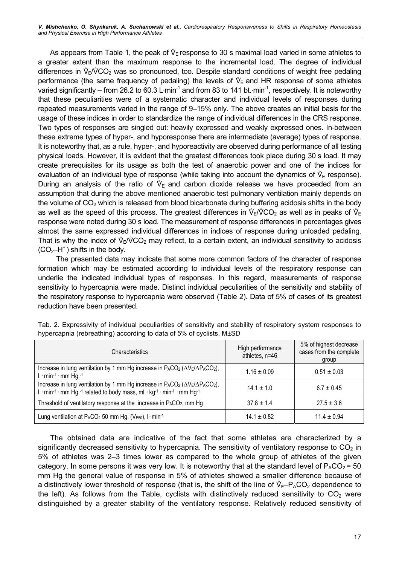shenenko, O. Shynkaruk, A. Suchanowski et al., Cardiorespiratory Responsiveness to Shins in Respiratory Homeostasis<br>Physical Exercise in High Performance Athletes<br>As appears from Table 1, the peak of  $\mathbb{V}_\mathsf{E}$  respons a greater extent than the maximum response to the incremental load. The degree of individual As appears from<br>a greater extent t<br>differences in  $\sqrt{\varepsilon}/\sqrt{\varepsilon}$ differences in  $\sqrt[6]{r}$  (CO<sub>2</sub> was so pronounced, too. Despite standard conditions of weight free pedaling a greater extent than the maximum response to the increme<br>differences in  $\sqrt{\epsilon}/\sqrt{\epsilon}$  was so pronounced, too. Despite standa<br>performance (the same frequency of pedaling) the levels of  $\sqrt{\epsilon}$ performance (the same frequency of pedaling) the levels of  $\mathcal{V}_E$  and HR response of some athletes varied significantly – from 26.2 to 60.3 L⋅min<sup>-1</sup> and from 83 to 141 bt.⋅min<sup>-1</sup>, respectively. It is noteworthy that these peculiarities were of a systematic character and individual levels of responses during repeated measurements varied in the range of 9–15% only. The above creates an initial basis for the usage of these indices in order to standardize the range of individual differences in the CRS response. Two types of responses are singled out: heavily expressed and weakly expressed ones. In-between these extreme types of hyper-, and hyporesponse there are intermediate (average) types of response. It is noteworthy that, as a rule, hyper-, and hyporeactivity are observed during performance of all testing physical loads. However, it is evident that the greatest differences took place during 30 s load. It may create prerequisites for its usage as both the test of anaerobic power and one of the indices for physical loads. However, it is evident that the greatest differences took place during 30 s<br>create prerequisites for its usage as both the test of anaerobic power and one of the<br>evaluation of an individual type of response  $_{\mathsf{E}}$  response). create prerequisites for its usage as both the test of anaerobic power and one of the indices for evaluation of an individual type of response (while taking into account the dynamics of  $\mathcal{V}_E$  response).<br>During an anal assumption that during the above mentioned anaerobic test pulmonary ventilation mainly depends on the volume of CO<sub>2</sub> which is released from blood bicarbonate during buffering acidosis shifts in the body assumption that during the above mentioned anaerobic test pulmonary ventilation mainly depends on<br>the volume of CO<sub>2</sub> which is released from blood bicarbonate during buffering acidosis shifts in the body<br>as well as the sp response were noted during 30 s load. The measurement of response differences in percentages gives almost the same expressed individual differences in indices of response during unloaded pedaling. The index of the index of  $\sqrt[n]{E}$  of  $\sqrt[n]{E}$  and the measurement of response differences in percentages gives<br>almost the same expressed individual differences in indices of response during unloaded pedaling.<br>That is why  $(CO<sub>2</sub>–H<sup>+</sup>)$  shifts in the body.

The presented data may indicate that some more common factors of the character of response formation which may be estimated according to individual levels of the respiratory response can underlie the indicated individual types of responses. In this regard, measurements of response sensitivity to hypercapnia were made. Distinct individual peculiarities of the sensitivity and stability of the respiratory response to hypercapnia were observed (Table 2). Data of 5% of cases of its greatest reduction have been presented.

| <b>Characteristics</b>                                                                                                                                                         | High performance<br>athletes, n=46 | 5% of highest decrease<br>cases from the complete<br>group |
|--------------------------------------------------------------------------------------------------------------------------------------------------------------------------------|------------------------------------|------------------------------------------------------------|
| Increase in lung ventilation by 1 mm Hg increase in $P_{A}CO_{2}$ ( $\Delta$ V <sub>E</sub> / $\Delta$ P <sub>A</sub> CO <sub>2</sub> ),<br>$l \cdot min^{-1} \cdot mm$ Hg. -1 | $1.16 \pm 0.09$                    | $0.51 \pm 0.03$                                            |
| Increase in lung ventilation by 1 mm Hg increase in $P_ACO_2 (\Delta V_E/\Delta P_ACO_2)$ ,<br>I · min-1 · mm Hg.-1 related to body mass, ml · kg-1 · min-1 · mm Hg-1          | $14.1 \pm 1.0$                     | $6.7 \pm 0.45$                                             |
| Threshold of ventilatory response at the increase in $P_ACO_2$ , mm Hg                                                                                                         | $37.8 \pm 1.4$                     | $27.5 \pm 3.6$                                             |
| Lung ventilation at $P_{A}CO_{2}$ 50 mm Hg. (V <sub>E50</sub> ), $I \cdot min^{-1}$                                                                                            | $14.1 \pm 0.82$                    | $11.4 \pm 0.94$                                            |

Tab. 2. Expressivity of individual peculiarities of sensitivity and stability of respiratory system responses to hypercapnia (rebreathing) according to data of 5% of cyclists, М±SD

The obtained data are indicative of the fact that some athletes are characterized by a significantly decreased sensitivity to hypercapnia. The sensitivity of ventilatory response to  $CO<sub>2</sub>$  in 5% of athletes was 2–3 times lower as compared to the whole group of athletes of the given category. In some persons it was very low. It is noteworthy that at the standard level of  $P_{A}CO_{2} = 50$ mm Hg the general value of response in 5% of athletes showed a smaller difference because of category. In some persons it was very low. It is noteworthy that at the stand<br>mm Hg the general value of response in 5% of athletes showed a smalle<br>a distinctively lower threshold of response (that is, the shift of the li a distinctively lower threshold of response (that is, the shift of the line of  $\mathcal{V}_{E}-P_{A}CO_{2}$  dependence to the left). As follows from the Table, cyclists with distinctively reduced sensitivity to  $CO<sub>2</sub>$  were distinguished by a greater stability of the ventilatory response. Relatively reduced sensitivity of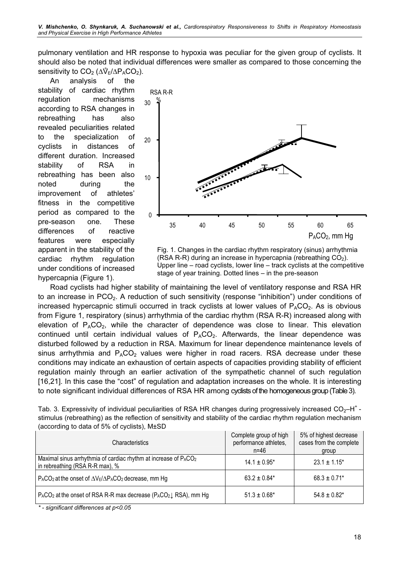pulmonary ventilation and HR response to hypoxia was peculiar for the given group of cyclists. It should also be noted that individual differences were smaller as compared to those concerning the pulmonary ventilation<br>should also be noted t<br>sensitivity to CO<sub>2</sub> (Δ<sup>γ</sup>ε sensitivity to  $CO<sub>2</sub>$  ( $\Delta \mathcal{V}_F/\Delta P_A CO_2$ ).

An analysis of the stability of cardiac rhythm regulation mechanisms according to RSA changes in rebreathing has also revealed peculiarities related to the specialization of cyclists in distances of different duration. Increased stability of RSA in rebreathing has been also noted during the improvement of athletes' fitness in the competitive period as compared to the pre-season one. These differences of reactive features were especially apparent in the stability of the cardiac rhythm regulation under conditions of increased hypercapnia (Figure 1).



Fig. 1. Changes in the cardiac rhythm respiratory (sinus) arrhythmia (RSA R-R) during an increase in hypercapnia (rebreathing  $CO<sub>2</sub>$ ). Upper line – road cyclists, lower line – track cyclists at the competitive stage of year training. Dottеd lines – in the pre-season

Road cyclists had higher stability of maintaining the level of ventilatory response and RSA HR to an increase in PCO<sub>2</sub>. A reduction of such sensitivity (response "inhibition") under conditions of increased hypercapnic stimuli occurred in track cyclists at lower values of  $P_ACO_2$ . As is obvious from Figure 1, respiratory (sinus) arrhythmia of the cardiac rhythm (RSA R-R) increased along with elevation of  $P_{A}CO_{2}$ , while the character of dependence was close to linear. This elevation continued until certain individual values of  $P_ACO_2$ . Afterwards, the linear dependence was disturbed followed by a reduction in RSA. Maximum for linear dependence maintenance levels of sinus arrhythmia and  $P_{A}CO_{2}$  values were higher in road racers. RSA decrease under these conditions may indicate an exhaustion of certain aspects of capacities providing stability of efficient regulation mainly through an earlier activation of the sympathetic channel of such regulation [16,21]. In this case the "cost" of regulation and adaptation increases on the whole. It is interesting to note significant individual differences of RSA HR among cyclists of the homogeneous group (Table 3).

Tab. 3. Expressivity of individual peculiarities of RSA HR changes during progressively increased  $CO<sub>2</sub>-H<sup>+</sup>$  stimulus (rebreathing) as the reflection of sensitivity and stability of the cardiac rhythm regulation mechanism (according to data of 5% of cyclists), М±SD

| <b>Characteristics</b>                                                                                          | Complete group of high<br>performance athletes,<br>$n = 46$ | 5% of highest decrease<br>cases from the complete<br>group |
|-----------------------------------------------------------------------------------------------------------------|-------------------------------------------------------------|------------------------------------------------------------|
| Maximal sinus arrhythmia of cardiac rhythm at increase of PACO <sub>2</sub><br>in rebreathing (RSA R-R max), %  | $14.1 \pm 0.95^*$                                           | $23.1 \pm 1.15^*$                                          |
| $P_{A}CO_{2}$ at the onset of $\Delta$ V <sub>E</sub> / $\Delta$ P <sub>A</sub> CO <sub>2</sub> decrease, mm Hg | $63.2 \pm 0.84*$                                            | $68.3 \pm 0.71$ *                                          |
| $P_{A}CO_{2}$ at the onset of RSA R-R max decrease ( $P_{A}CO_{2}$ ), RSA), mm Hg                               | $51.3 \pm 0.68^*$                                           | $54.8 \pm 0.82$ *                                          |

\* - significant differences at p<0.05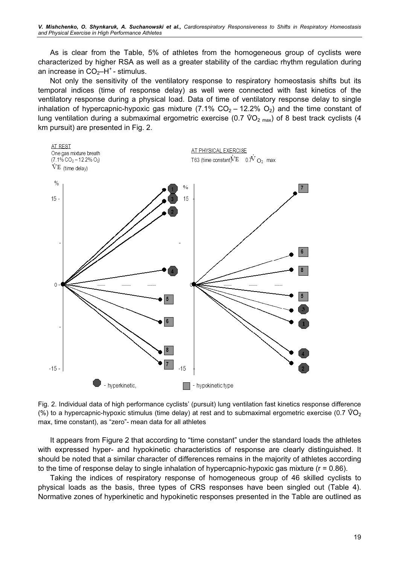As is clear from the Table, 5% of athletes from the homogeneous group of cyclists were characterized by higher RSA as well as a greater stability of the cardiac rhythm regulation during an increase in  $CO<sub>2</sub>–H<sup>+</sup>$  - stimulus.

Not only the sensitivity of the ventilatory response to respiratory homeostasis shifts but its temporal indices (time of response delay) as well were connected with fast kinetics of the ventilatory response during a physical load. Data of time of ventilatory response delay to single inhalation of hypercapnic-hypoxic gas mixture (7.1%  $CO<sub>2</sub> - 12.2% O<sub>2</sub>$ ) and the time constant of ventilatory response during a physical load. Data of time of ventilatory response delay to single<br>inhalation of hypercapnic-hypoxic gas mixture (7.1%  $CO_2 - 12.2\%$   $O_2$ ) and the time constant of<br>lung ventilation during a km pursuit) are presented in Fig. 2.



Fig. 2. Individual data of high performance cyclists' (pursuit) lung ventilation fast kinetics response difference (%) to a hypercapnic-hypoxic stimulus (time delay) at rest and to submaximal ergometric exercise (0.7 V-O<sup>2</sup> max, time constant), as "zero"- mean data for all athletes

It appears from Figure 2 that according to "time constant" under the standard loads the athletes with expressed hyper- and hypokinetic characteristics of response are clearly distinguished. It should be noted that a similar character of differences remains in the majority of athletes according to the time of response delay to single inhalation of hypercapnic-hypoxic gas mixture  $(r = 0.86)$ .

Taking the indices of respiratory response of homogeneous group of 46 skilled cyclists to physical loads as the basis, three types of CRS responses have been singled out (Table 4). Normative zones of hyperkinetic and hypokinetic responses presented in the Table are outlined as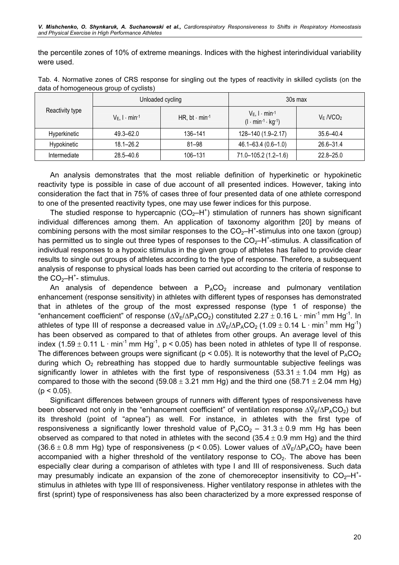the percentile zones of 10% of extreme meanings. Indices with the highest interindividual variability were used.

| Tab. 4. Normative zones of CRS response for singling out the types of reactivity in skilled cyclists (on the |  |  |  |  |
|--------------------------------------------------------------------------------------------------------------|--|--|--|--|
| data of homogeneous group of cyclists)                                                                       |  |  |  |  |

|                 |                                                    | Unloaded cycling | 30s max                                                          |               |  |
|-----------------|----------------------------------------------------|------------------|------------------------------------------------------------------|---------------|--|
| Reactivity type | HR, bt $\cdot$ min-1<br>$V_E$ , $I \cdot min^{-1}$ |                  | $V_E$ , $I \cdot min^{-1}$<br>$(l \cdot min^{-1} \cdot kg^{-1})$ | $V_E NCO2$    |  |
| Hyperkinetic    | $49.3 - 62.0$                                      | 136-141          | 128-140 (1.9-2.17)                                               | $35.6 - 40.4$ |  |
| Hypokinetic     | $18.1 - 26.2$                                      | $81 - 98$        | $46.1 - 63.4(0.6 - 1.0)$                                         | $26.6 - 31.4$ |  |
| Intermediate    | $28.5 - 40.6$                                      | 106-131          | 71.0-105.2 (1.2-1.6)                                             | $22.8 - 25.0$ |  |

An analysis demonstrates that the most reliable definition of hyperkinetic or hypokinetic reactivity type is possible in case of due account of all presented indices. However, taking into consideration the fact that in 75% of cases three of four presented data of one athlete correspond to one of the presented reactivity types, one may use fewer indices for this purpose.

The studied response to hypercapnic  $(CO<sub>2</sub>-H<sup>+</sup>)$  stimulation of runners has shown significant individual differences among them. An application of taxonomy algorithm [20] by means of combining persons with the most similar responses to the  $CO_2$ -H<sup>+</sup>-stimulus into one taxon (group) has permitted us to single out three types of responses to the  $CO<sub>2</sub>-H<sup>+</sup>$ -stimulus. A classification of individual responses to a hypoxic stimulus in the given group of athletes has failed to provide clear results to single out groups of athletes according to the type of response. Therefore, a subsequent analysis of response to physical loads has been carried out according to the criteria of response to the  $CO<sub>2</sub>-H<sup>+</sup>$ - stimulus.

An analysis of dependence between a  $P_ACO_2$  increase and pulmonary ventilation enhancement (response sensitivity) in athletes with different types of responses has demonstrated that in athletes of the group of the most expressed response (type 1 of response) the enhancement (response sensitivity) in athletes with different types of responses has demonstrated<br>that in athletes of the group of the most expressed response (type 1 of response) the<br>"enhancement coefficient" of response that in athletes of the group of the most expressed response (type 1 of response) the "enhancement coefficient" of response ( $\Delta V_E/\Delta P_A CO_2$ ) constituted 2.27 ± 0.16 L · min<sup>-1</sup> mm Hg<sup>-1</sup>. In athletes of type III of respons has been observed as compared to that of athletes from other groups. An average level of this index (1.59  $\pm$  0.11 L · min<sup>-1</sup> mm Hg<sup>-1</sup>, p < 0.05) has been noted in athletes of type II of response. The differences between groups were significant ( $p < 0.05$ ). It is noteworthy that the level of  $P_A CO_2$ during which  $O<sub>2</sub>$  rebreathing has stopped due to hardly surmountable subjective feelings was significantly lower in athletes with the first type of responsiveness  $(53.31 \pm 1.04$  mm Hg) as compared to those with the second  $(59.08 \pm 3.21 \text{ mm Hg})$  and the third one  $(58.71 \pm 2.04 \text{ mm Hg})$  $(p < 0.05)$ .

Significant differences between groups of runners with different types of responsiveness have  $(p < 0.05)$ .<br>Significant differences between groups of runners with different types of responsiveness have<br>been observed not only in the "enhancement coefficient" of ventilation response  $\Delta V_E/\Delta P_A CO_2$ ) but its threshold (point of "apnea") as well. For instance, in athletes with the first type of responsiveness a significantly lower threshold value of  $P_ACO_2 - 31.3 \pm 0.9$  mm Hg has been observed as compared to that noted in athletes with the second (35.4  $\pm$  0.9 mm Hg) and the third (36.6  $\pm$  0.8 mm Hg) type of r observed as compared to that noted in athletes with the second  $(35.4 \pm 0.9 \text{ mm Hg})$  and the third  $(36.6 \pm 0.8$  mm Hg) type of responsiveness (p < 0.05). Lower values of  $\Delta V_F/\Delta P_A CO_2$  have been accompanied with a higher threshold of the ventilatory response to  $CO<sub>2</sub>$ . The above has been especially clear during a comparison of athletes with type I and III of responsiveness. Such data may presumably indicate an expansion of the zone of chemoreceptor insensitivity to  $CO<sub>2</sub>-H<sup>+</sup>$ stimulus in athletes with type III of responsiveness. Higher ventilatory response in athletes with the first (sprint) type of responsiveness has also been characterized by a more expressed response of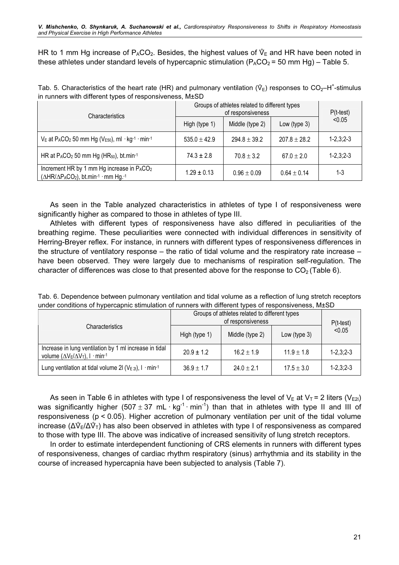these athletes under standard levels of hypercapnic stimulation ( $P_{A}CO_{2} = 50$  mm Hg) – Table 5.

| Tab. 5. Characteristics of the heart rate (HR) and pulmonary ventilation ( $\sqrt{\ }$ ) responses to CO <sub>2</sub> -H <sup>+</sup> -stimulus |  |  |  |  |
|-------------------------------------------------------------------------------------------------------------------------------------------------|--|--|--|--|
| in runners with different types of responsiveness, $M\pm SD$                                                                                    |  |  |  |  |

| <b>Characteristics</b>                                                                                                    | Groups of athletes related to different types | $P(t-test)$      |                  |                   |
|---------------------------------------------------------------------------------------------------------------------------|-----------------------------------------------|------------------|------------------|-------------------|
|                                                                                                                           | High (type 1)                                 | Middle (type 2)  | Low (type $3)$   | < 0.05            |
| $V_E$ at P <sub>A</sub> CO <sub>2</sub> 50 mm Hg (V <sub>E50</sub> ), ml · kg <sup>-1</sup> · min <sup>-1</sup>           | $535.0 \pm 42.9$                              | $294.8 \pm 39.2$ | $207.8 \pm 28.2$ | $1 - 2, 3, 2 - 3$ |
| HR at P <sub>A</sub> CO <sub>2</sub> 50 mm Hg (HR <sub>50</sub> ), bt.min-1                                               | $74.3 \pm 2.8$                                | $70.8 \pm 3.2$   | $67.0 \pm 2.0$   | $1 - 2, 3, 2 - 3$ |
| Increment HR by 1 mm Hg increase in P <sub>A</sub> CO <sub>2</sub><br>$(\Delta HR/\Delta P_A CO_2)$ , bt.min-1 · mm Hg.-1 | $1.29 \pm 0.13$                               | $0.96 \pm 0.09$  | $0.64 \pm 0.14$  | $1 - 3$           |

As seen in the Table analyzed characteristics in athletes of type I of responsiveness were significantly higher as compared to those in athletes of type III.

Athletes with different types of responsiveness have also differed in peculiarities of the breathing regime. These peculiarities were connected with individual differences in sensitivity of Herring-Breyer reflex. For instance, in runners with different types of responsiveness differences in the structure of ventilatory response – the ratio of tidal volume and the respiratory rate increase – have been observed. They were largely due to mechanisms of respiration self-regulation. The character of differences was close to that presented above for the response to  $CO<sub>2</sub>$  (Table 6).

Tab. 6. Dependence between pulmonary ventilation and tidal volume as a reflection of lung stretch receptors under conditions of hypercapnic stimulation of runners with different types of responsiveness, M±SD

|                                                                                                        | Groups of athletes related to different types | $P(t-test)$     |                 |                   |
|--------------------------------------------------------------------------------------------------------|-----------------------------------------------|-----------------|-----------------|-------------------|
| Characteristics                                                                                        | High (type 1)                                 | Middle (type 2) | Low (type $3$ ) | < 0.05            |
| Increase in lung ventilation by 1 ml increase in tidal<br>volume $(\Delta V_E/\Delta V_T)$ , I · min-1 | $20.9 \pm 1.2$                                | $16.2 \pm 1.9$  | $11.9 \pm 1.8$  | $1 - 2, 3, 2 - 3$ |
| Lung ventilation at tidal volume 2l ( $V_{E 2l}$ ), I · min-1                                          | $36.9 \pm 1.7$                                | $24.0 \pm 2.1$  | $17.5 \pm 3.0$  | $1 - 2, 3, 2 - 3$ |

As seen in Table 6 in athletes with type I of responsiveness the level of  $V_E$  at  $V_T = 2$  liters ( $V_{E2l}$ ) was significantly higher (507 ± 37 mL·kg<sup>-1</sup>·min<sup>-1</sup>) than that in athletes with type II and III of responsiveness (p < 0.05). Higher accretion of pulmonary ventilation per unit of the tidal volume increase (ΔV<sub>E</sub>/ΔV<sub>T</sub>) responsiveness (p < 0.05). Higher accretion of pulmonary ventilation per unit of the tidal volume  $_{E}/\Delta V_{T}$ ) has also been observed in athletes with type I of responsiveness as compared to those with type III. The above was indicative of increased sensitivity of lung stretch receptors.

In order to estimate interdependent functioning of CRS elements in runners with different types of responsiveness, changes of cardiac rhythm respiratory (sinus) arrhythmia and its stability in the course of increased hypercapnia have been subjected to analysis (Table 7).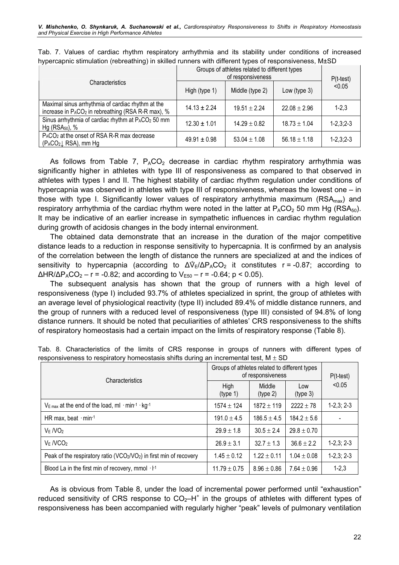|                                                                                                            | Groups of athletes related to different types | $P(t-test)$      |                  |                   |
|------------------------------------------------------------------------------------------------------------|-----------------------------------------------|------------------|------------------|-------------------|
| <b>Characteristics</b>                                                                                     | High (type 1)                                 | Middle (type 2)  | Low (type 3)     | < 0.05            |
| Maximal sinus arrhythmia of cardiac rhythm at the<br>increase in $P_ACO_2$ in rebreathing (RSA R-R max), % | $14.13 + 2.24$                                | $19.51 \pm 2.24$ | $22.08 \pm 2.96$ | $1 - 2.3$         |
| Sinus arrhythmia of cardiac rhythm at PACO <sub>2</sub> 50 mm<br>$Hg$ (RSA <sub>50</sub> ), %              | $12.30 \pm 1.01$                              | $14.29 \pm 0.82$ | $18.73 \pm 1.04$ | $1 - 2, 3, 2 - 3$ |
| P <sub>A</sub> CO <sub>2</sub> at the onset of RSA R-R max decrease<br>$(P_ACO_2 \downarrow$ RSA), mm Hg   | $49.91 \pm 0.98$                              | $53.04 \pm 1.08$ | $56.18 \pm 1.18$ | $1 - 2, 3, 2 - 3$ |

Tab. 7. Values of cardiac rhythm respiratory arrhythmia and its stability under conditions of increased hypercapnic stimulation (rebreathing) in skilled runners with different types of responsiveness, M±SD

As follows from Table 7,  $P_{A}CO_{2}$  decrease in cardiac rhythm respiratory arrhythmia was significantly higher in athletes with type III of responsiveness as compared to that observed in athletes with types I and II. The highest stability of cardiac rhythm regulation under conditions of hypercapnia was observed in athletes with type III of responsiveness, whereas the lowest one – in those with type I. Significantly lower values of respiratory arrhythmia maximum ( $RSA_{max}$ ) and respiratory arrhythmia of the cardiac rhythm were noted in the latter at  $P_ACO_2$  50 mm Hg (RSA<sub>50</sub>). It may be indicative of an earlier increase in sympathetic influences in cardiac rhythm regulation during growth of acidosis changes in the body internal environment.

The obtained data demonstrate that an increase in the duration of the major competitive distance leads to a reduction in response sensitivity to hypercapnia. It is confirmed by an analysis of the correlation between the length of distance the runners are specialized at and the indices of distance leads to a reduction in response sensitivity to hypercapnia. It is confirmed by an analysis of the correlation between the length of distance the runners are specialized at and the indices of sensitivity to hyper  $\Delta HR/\Delta P_A CO_2 - r = -0.82$ ; and according to  $V_{E50} - r = -0.64$ ; p < 0.05).

The subsequent analysis has shown that the group of runners with a high level of responsiveness (type I) included 93.7% of athletes specialized in sprint, the group of athletes with an average level of physiological reactivity (type II) included 89.4% of middle distance runners, and the group of runners with a reduced level of responsiveness (type III) consisted of 94.8% of long distance runners. It should be noted that peculiarities of athletes' CRS responsiveness to the shifts of respiratory homeostasis had a certain impact on the limits of respiratory response (Table 8).

| Characteristics                                                          | Groups of athletes related to different types<br>of responsiveness | $P(t-test)$        |                 |              |
|--------------------------------------------------------------------------|--------------------------------------------------------------------|--------------------|-----------------|--------------|
|                                                                          | High<br>(type 1)                                                   | Middle<br>(type 2) | Low<br>(type 3) | < 0.05       |
| $V_{\text{E max}}$ at the end of the load, ml $\cdot$ min-1 $\cdot$ kg-1 | $1574 \pm 124$                                                     | $1872 \pm 119$     | $2222 \pm 78$   | $1-2,3; 2-3$ |
| HR max, beat $\cdot$ min-1                                               | $191.0 \pm 4.5$                                                    | $186.5 \pm 4.5$    | $184.2 \pm 5.6$ |              |
| $V_F$ /VO <sub>2</sub>                                                   | $29.9 \pm 1.8$                                                     | $30.5 \pm 2.4$     | $29.8 \pm 0.70$ |              |
| $V_E NCO2$                                                               | $26.9 \pm 3.1$                                                     | $32.7 \pm 1.3$     | $36.6 \pm 2.2$  | $1-2,3; 2-3$ |
| Peak of the respiratory ratio (VCO2/VO2) in first min of recovery        | $1.45 \pm 0.12$                                                    | $1.22 \pm 0.11$    | $1.04 \pm 0.08$ | $1-2,3; 2-3$ |
| Blood La in the first min of recovery, mmol $\cdot$ $F^1$                | $11.79 \pm 0.75$                                                   | $8.96 \pm 0.86$    | $7.64 \pm 0.96$ | $1 - 2,3$    |

Tab. 8. Characteristics of the limits of CRS response in groups of runners with different types of responsiveness to respiratory homeostasis shifts during an incremental test,  $M \pm SD$ 

As is obvious from Table 8, under the load of incremental power performed until "exhaustion" reduced sensitivity of CRS response to  $CO<sub>2</sub>-H<sup>+</sup>$  in the groups of athletes with different types of responsiveness has been accompanied with regularly higher "peak" levels of pulmonary ventilation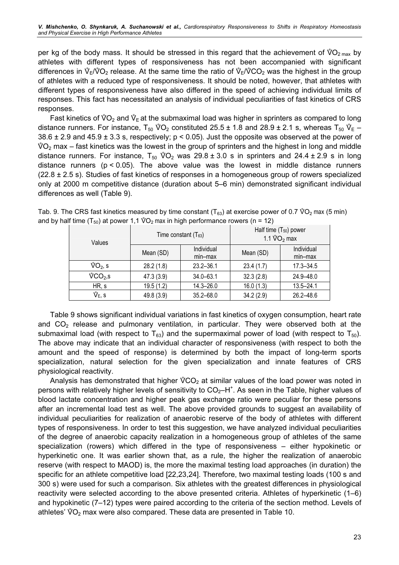athletes with different types of responsiveness has not been accompanied with significant per kg of the body mass. It should be stressed in this regard th<br>athletes with different types of responsiveness has not bee<br>differences in  $\mathcal{V}_E/\mathcal{V}O_2$  release. At the same time the ratio of  $\mathcal{V}_E/\mathcal{V}$  $E_{\rm E}/\rm^2O_2$  release. At the same time the ratio of  $\rm V_E/\rm ^0CO_2$  was the highest in the group of athletes with a reduced type of responsiveness. It should be noted, however, that athletes with different types of responsiveness have also differed in the speed of achieving individual limits of responses. This fact has necessitated an analysis of individual peculiarities of fast kinetics of CRS responses. bonses. This fact has necessitated an analysis of individual peculiarities of fast kinetics of CRS<br>ponses.<br>Fast kinetics of  $\sqrt[6]{O_2}$  and  $\sqrt[6]{E}$  at the submaximal load was higher in sprinters as compared to long

responses.<br>Fast kinetics of  $\sqrt[6]{O_2}$  and  $\sqrt[6]{e}$  at the submaximal load was higher in sprinters as compared to long<br>distance runners. For instance, T<sub>50</sub>  $\sqrt[6]{O_2}$  constituted 25.5 ± 1.8 and 28.9 ± 2.1 s, whereas T submaximal load was higher in sprinters as compared to lo<br>O<sub>2</sub> constituted 25.5 ± 1.8 and 28.9 ± 2.1 s, whereas T<sub>50</sub>  $\sqrt[6]{ }$  $38.6 \pm 2.9$  and  $45.9 \pm 3.3$  s, respectively; p < 0.05). Just the opposite was observed at the power of di<br>3¦<br>V  $\sqrt[6]{O_2}$  max – fast kinetics was the lowest in the group of sprinters and the highest in long and middle  $38.6 \pm 2.9$  and  $45.9 \pm 3.3$  s, respectively;  $p < 0.05$ ). Just the opposite was observed at the power of  $\sqrt[6]{O_2}$  max – fast kinetics was the lowest in the group of sprinters and the highest in long and middle distanc distance runners ( $p < 0.05$ ). The above value was the lowest in middle distance runners (22.8 ± 2.5 s). Studies of fast kinetics of responses in a homogeneous group of rowers specialized only at 2000 m competitive distance (duration about 5–6 min) demonstrated significant individual differences as well (Table 9). differences as well (Table 9).<br>Tab. 9. The CRS fast kinetics measured by time constant (T<sub>63</sub>) at exercise power of 0.7 <mark>VO<sub>2</sub> max (5 min)</mark>

| Values                       |            | Time constant $(T_{63})$ | Half time (T <sub>50</sub> ) power<br>1.1 $\sqrt[6]{O_2}$ max |                       |  |  |
|------------------------------|------------|--------------------------|---------------------------------------------------------------|-----------------------|--|--|
|                              | Mean (SD)  | Individual<br>$min-max$  | Mean (SD)                                                     | Individual<br>min-max |  |  |
| $\sqrt[6]{O_2}$ , s          | 28.2(1.8)  | $23.2 - 36.1$            | 23.4(1.7)                                                     | $17.3 - 34.5$         |  |  |
| $\sqrt[6]{CO_{2,}S}$         | 47.3 (3.9) | $34.0 - 63.1$            | 32.3(2.8)                                                     | $24.9 - 48.0$         |  |  |
| HR, s                        | 19.5(1.2)  | $14.3 - 26.0$            | 16.0(1.3)                                                     | $13.5 - 24.1$         |  |  |
| $\mathring{\mathsf{V}}$ E, S | 49.8 (3.9) | $35.2 - 68.0$            | 34.2(2.9)                                                     | $26.2 - 48.6$         |  |  |

Tab. 9. The CRS fast kinetics measured by time constant (T<sub>63</sub>) at exercise power<br>and by half time (T<sub>50</sub>) at power 1,1  $\sqrt[60]{O_2}$  max in high performance rowers (n = 12)<br>Time constant (T<sub>63</sub>) Half time<br>1.1  $\sqrt[6]{$ 

Table 9 shows significant individual variations in fast kinetics of oxygen consumption, heart rate and  $CO<sub>2</sub>$  release and pulmonary ventilation, in particular. They were observed both at the submaximal load (with respect to  $T_{63}$ ) and the supermaximal power of load (with respect to  $T_{50}$ ). The above may indicate that an individual character of responsiveness (with respect to both the amount and the speed of response) is determined by both the impact of long-term sports specialization, natural selection for the given specialization and innate features of CRS<br>physiological reactivity.<br>Analysis has demonstrated that higher  $\sqrt[6]{CO_2}$  at similar values of the load power was noted in physiological reactivity.

Analysis has demonstrated that higher  $\sqrt[6]{CO_2}$  at similar values of the load power was noted in persons with relatively higher levels of sensitivity to  $CO_2$ -H<sup>+</sup>. As seen in the Table, higher values of blood lactate concentration and higher peak gas exchange ratio were peculiar for these persons after an incremental load test as well. The above provided grounds to suggest an availability of individual peculiarities for realization of anaerobic reserve of the body of athletes with different types of responsiveness. In order to test this suggestion, we have analyzed individual peculiarities of the degree of anaerobic capacity realization in a homogeneous group of athletes of the same specialization (rowers) which differed in the type of responsiveness – either hypokinetic or hyperkinetic one. It was earlier shown that, as a rule, the higher the realization of anaerobic reserve (with respect to MAOD) is, the more the maximal testing load approaches (in duration) the specific for an athlete competitive load [22,23,24]. Therefore, two maximal testing loads (100 s and 300 s) were used for such a comparison. Six athletes with the greatest differences in physiological reactivity were selected according to the above presented criteria. Athletes of hyperkinetic (1–6) and hypokinetic (7–12) types were paired according to the criteria of the section method. Levels of reactivity were selected according to the above presented criteria. Athletes o<br>and hypokinetic (7–12) types were paired according to the criteria of the sectio<br>athletes'  $\sqrt[6]{O_2}$  max were also compared. These data are p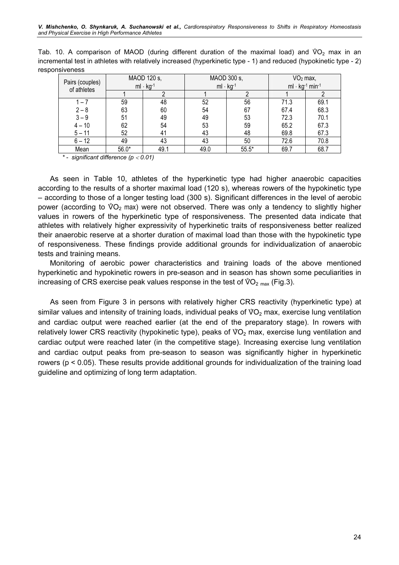|                |  |  |  | and Physical Exercise in High Performance Athletes |  |  |                                                                                                                   |  |  |  |
|----------------|--|--|--|----------------------------------------------------|--|--|-------------------------------------------------------------------------------------------------------------------|--|--|--|
|                |  |  |  |                                                    |  |  |                                                                                                                   |  |  |  |
|                |  |  |  |                                                    |  |  | Tab. 10. A comparison of MAOD (during different duration of the maximal load) and $\sqrt[6]{O_2}$ max in an       |  |  |  |
|                |  |  |  |                                                    |  |  | incremental test in athletes with relatively increased (hyperkinetic type - 1) and reduced (hypokinetic type - 2) |  |  |  |
| responsiveness |  |  |  |                                                    |  |  |                                                                                                                   |  |  |  |

|                                |         | MAOD 120 s, |      | MAOD 300 s, | $VO2$ max,                                    |      |  |  |
|--------------------------------|---------|-------------|------|-------------|-----------------------------------------------|------|--|--|
| Pairs (couples)<br>of athletes |         | $ml·kg-1$   | ml·  | $kq^{-1}$   | ml $\cdot$ kg <sup>-1</sup> min <sup>-1</sup> |      |  |  |
|                                |         |             |      |             |                                               |      |  |  |
| $1 - 7$                        | 59      | 48          | 52   | 56          | 71.3                                          | 69.1 |  |  |
| $2 - 8$                        | 63      | 60          | 54   | 67          | 67.4                                          | 68.3 |  |  |
| $3 - 9$                        | 51      | 49          | 49   | 53          | 72.3                                          | 70.1 |  |  |
| $4 - 10$                       | 62      | 54          | 53   | 59          | 65.2                                          | 67.3 |  |  |
| $5 - 11$                       | 52      | 41          | 43   | 48          | 69.8                                          | 67.3 |  |  |
| $6 - 12$                       | 49      | 43          | 43   | 50          | 72.6                                          | 70.8 |  |  |
| Mean                           | $56.0*$ | 49.1        | 49.0 | $55.5*$     | 69.7                                          | 68.7 |  |  |

\* - significant difference  $(p < 0.01)$ 

As seen in Table 10, athletes of the hyperkinetic type had higher anaerobic capacities according to the results of a shorter maximal load (120 s), whereas rowers of the hypokinetic type<br>  $-$  according to those of a longer testing load (300 s). Significant differences in the level of aerobic<br>
power (accordin – according to those of a longer testing load (300 s). Significant differences in the level of aerobic power (according to  $\sqrt[6]{O_2}$  max) were not observed. There was only a tendency to slightly higher values in rowers of the hyperkinetic type of responsiveness. The presented data indicate that athletes with relatively higher expressivity of hyperkinetic traits of responsiveness better realized their anaerobic reserve at a shorter duration of maximal load than those with the hypokinetic type of responsiveness. These findings provide additional grounds for individualization of anaerobic tests and training means.

Monitoring of aerobic power characteristics and training loads of the above mentioned hyperkinetic and hypokinetic rowers in pre-season and in season has shown some peculiarities in increasing of CRS exercise peak values hyperkinetic and hypokinetic rowers in pre-season and in season has shown some peculiarities in increasing of CRS exercise peak values response in the test of  $\sqrt[6]{O_{2}}_{max}$  (Fig.3).

As seen from Figure 3 in persons with relatively higher CRS reactivity (hyperkinetic type) at As seen from Figure 3 in persons with relatively higher CRS reactivity (hyperkinetic type) at<br>similar values and intensity of training loads, individual peaks of VO<sub>2</sub> max, exercise lung ventilation and cardiac output were reached earlier (at the end of the preparatory stage). In rowers with similar values and intensity of training loads, individual peaks<br>and cardiac output were reached earlier (at the end of th<br>relatively lower CRS reactivity (hypokinetic type), peaks of V relatively lower CRS reactivity (hypokinetic type), peaks of  $\sqrt[6]{O_2}$  max, exercise lung ventilation and cardiac output were reached later (in the competitive stage). Increasing exercise lung ventilation and cardiac output peaks from pre-season to season was significantly higher in hyperkinetic rowers (p < 0.05). These results provide additional grounds for individualization of the training load guideline and optimizing of long term adaptation.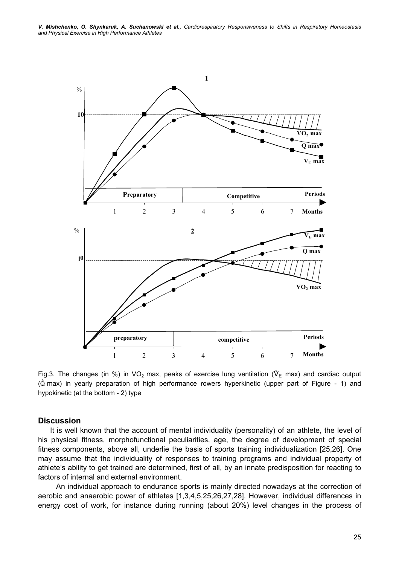

ri<br>(Q<br>(Q max) in yearly preparation of high performance rowers hyperkinetic (upper part of Figure - 1) and hypokinetic (at the bottom - 2) type

#### **Discussion**

It is well known that the account of mental individuality (personality) of an athlete, the level of his physical fitness, morphofunctional peculiarities, age, the degree of development of special fitness components, above all, underlie the basis of sports training individualization [25,26]. One may assume that the individuality of responses to training programs and individual property of athlete's ability to get trained are determined, first of all, by an innate predisposition for reacting to factors of internal and external environment.

An individual approach to endurance sports is mainly directed nowadays at the correction of aerobic and anaerobic power of athletes [1,3,4,5,25,26,27,28]. However, individual differences in energy cost of work, for instance during running (about 20%) level changes in the process of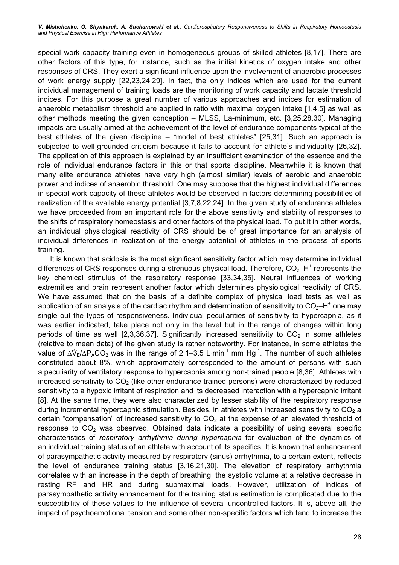special work capacity training even in homogeneous groups of skilled athletes [8,17]. There are other factors of this type, for instance, such as the initial kinetics of oxygen intake and other responses of CRS. They exert a significant influence upon the involvement of anaerobic processes of work energy supply [22,23,24,29]. In fact, the only indices which are used for the current individual management of training loads are the monitoring of work capacity and lactate threshold indices. For this purpose a great number of various approaches and indices for estimation of anaerobic metabolism threshold are applied in ratio with maximal oxygen intake [1,4,5] as well as other methods meeting the given conception – MLSS, La-minimum, etc. [3,25,28,30]. Managing impacts are usually aimed at the achievement of the level of endurance components typical of the best athletes of the given discipline – "model of best athletes" [25,31]. Such an approach is subjected to well-grounded criticism because it fails to account for athlete's individuality [26,32]. The application of this approach is explained by an insufficient examination of the essence and the role of individual endurance factors in this or that sports discipline. Meanwhile it is known that many elite endurance athletes have very high (almost similar) levels of aerobic and anaerobic power and indices of anaerobic threshold. One may suppose that the highest individual differences in special work capacity of these athletes would be observed in factors determining possibilities of realization of the available energy potential [3,7,8,22,24]. In the given study of endurance athletes we have proceeded from an important role for the above sensitivity and stability of responses to the shifts of respiratory homeostasis and other factors of the physical load. To put it in other words, an individual physiological reactivity of CRS should be of great importance for an analysis of individual differences in realization of the energy potential of athletes in the process of sports training.

It is known that acidosis is the most significant sensitivity factor which may determine individual differences of CRS responses during a strenuous physical load. Therefore,  $CO<sub>2</sub>$ -H<sup>+</sup> represents the key chemical stimulus of the respiratory response [33,34,35]. Neural influences of working extremities and brain represent another factor which determines physiological reactivity of CRS. We have assumed that on the basis of a definite complex of physical load tests as well as application of an analysis of the cardiac rhythm and determination of sensitivity to  $CO_2$ -H<sup>+</sup> one may single out the types of responsiveness. Individual peculiarities of sensitivity to hypercapnia, as it was earlier indicated, take place not only in the level but in the range of changes within long periods of time as well [2,3,36,37]. Significantly increased sensitivity to  $CO<sub>2</sub>$  in some athletes (relative to mean data) of the given study is rather noteworthy. For instance, in some athletes the periods of time as well [2,3,36,37]. Significantly increased sensitivity to  $CO_2$  in some athletes (relative to mean data) of the given study is rather noteworthy. For instance, in some athletes the value of  $Δ^{\circ}\varepsilon/ΔP$ constituted about 8%, which approximately corresponded to the amount of persons with such a peculiarity of ventilatory response to hypercapnia among non-trained people [8,36]. Athletes with increased sensitivity to  $CO<sub>2</sub>$  (like other endurance trained persons) were characterized by reduced sensitivity to a hypoxic irritant of respiration and its decreased interaction with a hypercapnic irritant [8]. At the same time, they were also characterized by lesser stability of the respiratory response during incremental hypercapnic stimulation. Besides, in athletes with increased sensitivity to  $CO<sub>2</sub>$  a certain "compensation" of increased sensitivity to  $CO<sub>2</sub>$  at the expense of an elevated threshold of response to  $CO<sub>2</sub>$  was observed. Obtained data indicate a possibility of using several specific characteristics of respiratory arrhythmia during hypercapnia for evaluation of the dynamics of an individual training status of an athlete with account of its specifics. It is known that enhancement of parasympathetic activity measured by respiratory (sinus) arrhythmia, to a certain extent, reflects the level of endurance training status [3,16,21,30]. The elevation of respiratory arrhythmia correlates with an increase in the depth of breathing, the systolic volume at a relative decrease in resting RF and HR and during submaximal loads. However, utilization of indices of parasympathetic activity enhancement for the training status estimation is complicated due to the susceptibility of these values to the influence of several uncontrolled factors. It is, above all, the impact of psychoemotional tension and some other non-specific factors which tend to increase the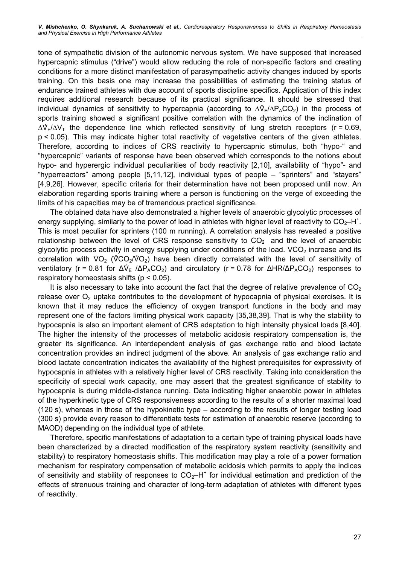tone of sympathetic division of the autonomic nervous system. We have supposed that increased hypercapnic stimulus ("drive") would allow reducing the role of non-specific factors and creating conditions for a more distinct manifestation of parasympathetic activity changes induced by sports training. On this basis one may increase the possibilities of estimating the training status of endurance trained athletes with due account of sports discipline specifics. Application of this index requires additional research because of its practical significance. It should be stressed that individual dynamics of s requires additional research because of its practical significance. It should be stressed that individual dynamics of sensitivity to hypercapnia (according to  $\Delta \hat{V}_F / \Delta P_A CO_2$ ) in the process of sports training showed a significant positive correlation with the dynamics of the inclination of individual dynamics of sensitivity to hypercapnia (according to  $\Delta \hat{V}_E / \Delta P_A CO_2$ ) in the process of sports training showed a significant positive correlation with the dynamics of the inclination of  $\Delta \hat{V}_E / \Delta V_T$  the р < 0.05). This may indicate higher total reactivity of vegetative centers of the given athletes. Therefore, according to indices of CRS reactivity to hypercapnic stimulus, both "hypo-" and "hypercapnic" variants of response have been observed which corresponds to the notions about hypo- and hyperergic individual peculiarities of body reactivity [2,10], availability of "hypo"- and "hyperreactors" among people [5,11,12], individual types of people – "sprinters" and "stayers" [4,9,26]. However, specific criteria for their determination have not been proposed until now. An elaboration regarding sports training where a person is functioning on the verge of exceeding the limits of his capacities may be of tremendous practical significance.

The obtained data have also demonstrated a higher levels of anaerobic glycolytic processes of energy supplying, similarly to the power of load in athletes with higher level of reactivity to  $CO_2$ -H<sup>+</sup>. This is most peculiar for sprinters (100 m running). A correlation analysis has revealed a positive relationship between the level of CRS response sensitivity to  $CO_2$  and the level of anaerobic glycolytic process activity in energy supplying under conditions of the load. VCO<sub>2</sub> increase and its correlation with  $\sqrt[6]{C$ glycolytic process activity in energy supplying under conditions of the load. VCO<sub>2</sub> increase and its  $O<sub>2</sub>$ ) have been directly correlated with the level of sensitivity of *glycolytic process activity in*<br>correlation with  $\sqrt[10]{O_2}$  ( $\sqrt[0]{CO}$ <br>ventilatory (r = 0.81 for Δ $\sqrt[0]{}$  $E_{\rm E}$  /ΔP<sub>A</sub>CO<sub>2</sub>) and circulatory (r = 0.78 for ΔHR/ΔP<sub>A</sub>CO<sub>2</sub>) responses to respiratory homeostasis shifts ( $p < 0.05$ ).

It is also necessary to take into account the fact that the degree of relative prevalence of  $CO<sub>2</sub>$ release over  $O_2$  uptake contributes to the development of hypocapnia of physical exercises. It is known that it may reduce the efficiency of oxygen transport functions in the body and may represent one of the factors limiting physical work capacity [35,38,39]. That is why the stability to hypocapnia is also an important element of CRS adaptation to high intensity physical loads [8,40]. The higher the intensity of the processes of metabolic acidosis respiratory compensation is, the greater its significance. An interdependent analysis of gas exchange ratio and blood lactate concentration provides an indirect judgment of the above. An analysis of gas exchange ratio and blood lactate concentration indicates the availability of the highest prerequisites for expressivity of hypocapnia in athletes with a relatively higher level of CRS reactivity. Taking into consideration the specificity of special work capacity, one may assert that the greatest significance of stability to hypocapnia is during middle-distance running. Data indicating higher anaerobic power in athletes of the hyperkinetic type of CRS responsiveness according to the results of a shorter maximal load (120 s), whereas in those of the hypokinetic type – according to the results of longer testing load (300 s) provide every reason to differentiate tests for estimation of anaerobic reserve (according to MAOD) depending on the individual type of athlete.

Therefore, specific manifestations of adaptation to a certain type of training physical loads have been characterized by a directed modification of the respiratory system reactivity (sensitivity and stability) to respiratory homeostasis shifts. This modification may play a role of a power formation mechanism for respiratory compensation of metabolic acidosis which permits to apply the indices of sensitivity and stability of responses to  $CO<sub>2</sub>-H<sup>+</sup>$  for individual estimation and prediction of the effects of strenuous training and character of long-term adaptation of athletes with different types of reactivity.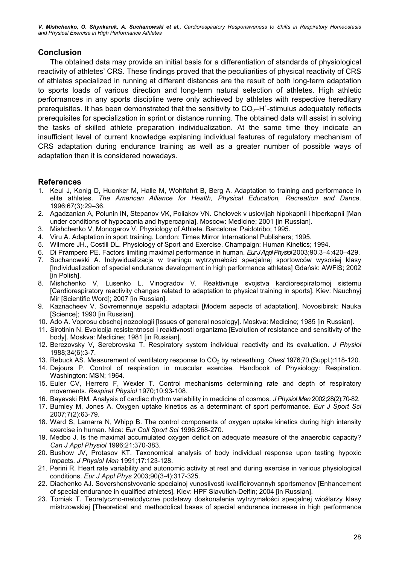V. Mishchenko, O. Shynkaruk, A. Suchanowski et al., Cardiorespiratory Responsiveness to Shifts in Respiratory Homeostasis and Physical Exercise in High Performance Athletes

### Conclusion

The obtained data may provide an initial basis for a differentiation of standards of physiological reactivity of athletes' CRS. These findings proved that the peculiarities of physical reactivity of CRS of athletes specialized in running at different distances are the result of both long-term adaptation to sports loads of various direction and long-term natural selection of athletes. High athletic performances in any sports discipline were only achieved by athletes with respective hereditary prerequisites. It has been demonstrated that the sensitivity to  $CO_2$ -H<sup>+</sup>-stimulus adequately reflects prerequisites for specialization in sprint or distance running. The obtained data will assist in solving the tasks of skilled athlete preparation individualization. At the same time they indicate an insufficient level of current knowledge explaning individual features of regulatory mechanism of CRS adaptation during endurance training as well as a greater number of possible ways of adaptation than it is considered nowadays.

# References

- 1. KeuI J, Konig D, Huonker M, Halle M, Wohlfahrt B, Berg A. Adaptation to training and performance in elite athletes. The American Alliance for Health, Physical Education, Recreation and Dance. 1996;67(3):29–36.
- 2. Agadzanian A, Polunin IN, Stepanov VK, Poliakov VN. Chelovek v uslovijah hipokapnii i hiperkapnii [Man under conditions of hypocapnia and hypercapnia]. Moscow: Medicine; 2001 [in Russian].
- 3. Mishchenko V, Monogarov V. Physiology of Athlete. Barcelona: Paidotribo; 1995.
- 4. Viru A. Adaptation in sport training. London: Times Mirror International Publishers; 1995.
- 5. Wilmore JH., Costill DL. Physiology of Sport and Exercise. Champaign: Human Kinetics; 1994.
- 6. Di Prampero PE. Factors limiting maximal performance in human. Eur J Appl Physiol 2003;90,3–4:420–429.
- 7. Suchanowski A. Indywidualizacja w treningu wytrzymałości specjalnej sportowców wysokiej klasy [Individualization of special endurance development in high performance athletes] Gdańsk: AWFiS; 2002 [in Polish].
- 8. Mishchenko V, Lusenko L, Vinogradov V. Reaktivnuje svojstva kardiorespiratornoj sistemu [Cardiorespiratory reactivity changes related to adaptation to physical training in sports]. Kiev: Nauchnyj Mir [Scientific Word]; 2007 [in Russian].
- 9. Kaznacheev V. Sovremennuje aspektu adaptacii [Modern aspects of adaptation]. Novosibirsk: Nauka [Science]; 1990 [in Russian].
- 10. Ado A. Voprosu obschej nozoologii [Issues of general nosology]. Moskva: Medicine; 1985 [in Russian].
- 11. Sirotinin N. Evolocija resistentnosci i reaktivnosti organizma [Evolution of resistance and sensitivity of the body]. Moskva: Medicine; 1981 [in Russian].
- 12. Berezovsky V, Serebrovska T. Respiratory system individual reactivity and its evaluation. J Physiol 1988;34(6):3-7.
- 13. Rebuck AS. Measurement of ventilatory response to CO<sub>2</sub> by rebreathing. Chest 1976;70 (Suppl.):118-120.
- 14. Dejours P. Control of respiration in muscular exercise. Handbook of Physiology: Respiration. Washington: MSN; 1964.
- 15. Euler CV, Herrero F, Wexler T. Control mechanisms determining rate and depth of respiratory movements. Respirat Physiol 1970;10:93-108.
- 16. Bayevski RM. Analysis of cardiac rhythm variability in medicine of cosmos. J Physiol Men 2002;28(2):70-82.
- 17. Burnley M, Jones A. Oxygen uptake kinetics as a determinant of sport performance. Eur J Sport Sci 2007;7(2):63-79.
- 18. Ward S, Lamarra N, Whipp B. The control components of oxygen uptake kinetics during high intensity exercise in human. Nice: Eur Coll Sport Sci 1996:268-270.
- 19. Medbo J. Is the maximal accumulated oxygen deficit on adequate measure of the anaerobic capacity? Can J Appl Physiol 1996;21:370-383.
- 20. Bushow JV, Protasov KT. Taxonomical analysis of body individual response upon testing hypoxic impacts. J Physiol Men 1991;17:123-128.
- 21. Perini R. Heart rate variability and autonomic activity at rest and during exercise in various physiological conditions. Eur J Appl Phys 2003;90(3-4):317-325.
- 22. Diachenko AJ. Sovershenstvovanie specialnoj vunoslivosti kvalificirovannyh sportsmenov [Enhancement of special endurance in qualified athletes]. Kiev: HPF Slavutich-Delfin; 2004 [in Russian].
- 23. Tomiak T. Teoretyczno-metodyczne podstawy doskonalenia wytrzymałości specjalnej wioślarzy klasy mistrzowskiej [Theoretical and methodolical bases of special endurance increase in high performance